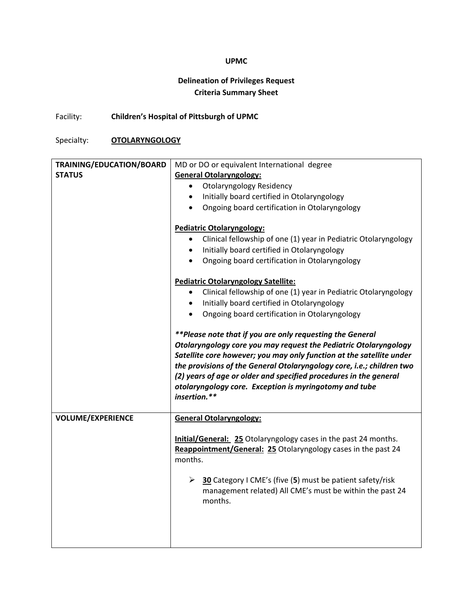## **UPMC**

## **Delineation of Privileges Request Criteria Summary Sheet**

Facility: **Children's Hospital of Pittsburgh of UPMC**

Specialty: **OTOLARYNGOLOGY**

| TRAINING/EDUCATION/BOARD | MD or DO or equivalent International degree                                  |
|--------------------------|------------------------------------------------------------------------------|
| <b>STATUS</b>            | <b>General Otolaryngology:</b>                                               |
|                          | <b>Otolaryngology Residency</b><br>$\bullet$                                 |
|                          | Initially board certified in Otolaryngology<br>$\bullet$                     |
|                          | Ongoing board certification in Otolaryngology<br>$\bullet$                   |
|                          |                                                                              |
|                          | Pediatric Otolaryngology:                                                    |
|                          | Clinical fellowship of one (1) year in Pediatric Otolaryngology<br>$\bullet$ |
|                          | Initially board certified in Otolaryngology<br>$\bullet$                     |
|                          | Ongoing board certification in Otolaryngology<br>$\bullet$                   |
|                          | Pediatric Otolaryngology Satellite:                                          |
|                          | Clinical fellowship of one (1) year in Pediatric Otolaryngology<br>$\bullet$ |
|                          | Initially board certified in Otolaryngology                                  |
|                          | Ongoing board certification in Otolaryngology<br>$\bullet$                   |
|                          |                                                                              |
|                          | **Please note that if you are only requesting the General                    |
|                          | Otolaryngology core you may request the Pediatric Otolaryngology             |
|                          | Satellite core however; you may only function at the satellite under         |
|                          | the provisions of the General Otolaryngology core, i.e.; children two        |
|                          | (2) years of age or older and specified procedures in the general            |
|                          |                                                                              |
|                          | otolaryngology core. Exception is myringotomy and tube                       |
|                          | insertion.**                                                                 |
| <b>VOLUME/EXPERIENCE</b> | <b>General Otolaryngology:</b>                                               |
|                          |                                                                              |
|                          | <b>Initial/General: 25 Otolaryngology cases in the past 24 months.</b>       |
|                          | Reappointment/General: 25 Otolaryngology cases in the past 24                |
|                          | months.                                                                      |
|                          |                                                                              |
|                          | > 30 Category I CME's (five (5) must be patient safety/risk                  |
|                          | management related) All CME's must be within the past 24                     |
|                          | months.                                                                      |
|                          |                                                                              |
|                          |                                                                              |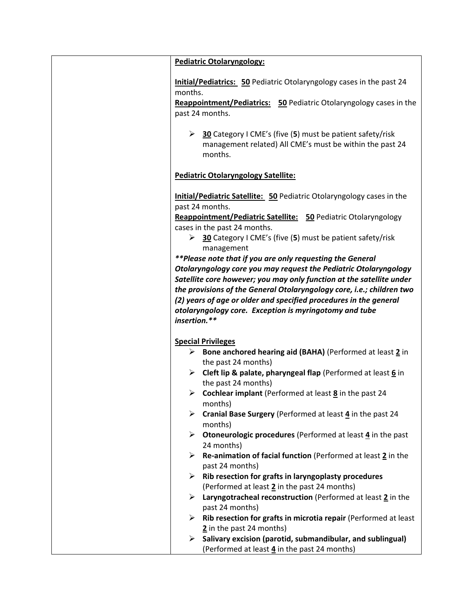| Pediatric Otolaryngology:                                                                                                                                                                                                                                                                                                                                                                                                                                                                                                                                                                                                                                                                                            |
|----------------------------------------------------------------------------------------------------------------------------------------------------------------------------------------------------------------------------------------------------------------------------------------------------------------------------------------------------------------------------------------------------------------------------------------------------------------------------------------------------------------------------------------------------------------------------------------------------------------------------------------------------------------------------------------------------------------------|
| <b>Initial/Pediatrics: 50 Pediatric Otolaryngology cases in the past 24</b><br>months.<br><b>Reappointment/Pediatrics: 50 Pediatric Otolaryngology cases in the</b><br>past 24 months.                                                                                                                                                                                                                                                                                                                                                                                                                                                                                                                               |
| $\geq$ 30 Category I CME's (five (5) must be patient safety/risk<br>management related) All CME's must be within the past 24<br>months.                                                                                                                                                                                                                                                                                                                                                                                                                                                                                                                                                                              |
| <b>Pediatric Otolaryngology Satellite:</b>                                                                                                                                                                                                                                                                                                                                                                                                                                                                                                                                                                                                                                                                           |
| <b>Initial/Pediatric Satellite: 50 Pediatric Otolaryngology cases in the</b><br>past 24 months.<br>Reappointment/Pediatric Satellite: 50 Pediatric Otolaryngology<br>cases in the past 24 months.<br><b>30</b> Category I CME's (five (5) must be patient safety/risk<br>management<br>**Please note that if you are only requesting the General<br>Otolaryngology core you may request the Pediatric Otolaryngology<br>Satellite core however; you may only function at the satellite under<br>the provisions of the General Otolaryngology core, i.e.; children two<br>(2) years of age or older and specified procedures in the general<br>otolaryngology core. Exception is myringotomy and tube<br>insertion.** |
| <b>Special Privileges</b>                                                                                                                                                                                                                                                                                                                                                                                                                                                                                                                                                                                                                                                                                            |
| $\triangleright$ Bone anchored hearing aid (BAHA) (Performed at least 2 in<br>the past 24 months)                                                                                                                                                                                                                                                                                                                                                                                                                                                                                                                                                                                                                    |
| Example 2 Deft lip & palate, pharyngeal flap (Performed at least $6$ in<br>the past 24 months)                                                                                                                                                                                                                                                                                                                                                                                                                                                                                                                                                                                                                       |
| <b>Example 24</b> Cochlear implant (Performed at least $\underline{8}$ in the past 24<br>months)                                                                                                                                                                                                                                                                                                                                                                                                                                                                                                                                                                                                                     |
| Cranial Base Surgery (Performed at least 4 in the past 24<br>➤<br>months)                                                                                                                                                                                                                                                                                                                                                                                                                                                                                                                                                                                                                                            |
| <b>Otoneurologic procedures</b> (Performed at least 4 in the past<br>➤<br>24 months)                                                                                                                                                                                                                                                                                                                                                                                                                                                                                                                                                                                                                                 |
| Re-animation of facial function (Performed at least 2 in the<br>past 24 months)                                                                                                                                                                                                                                                                                                                                                                                                                                                                                                                                                                                                                                      |
| Rib resection for grafts in laryngoplasty procedures<br>➤<br>(Performed at least 2 in the past 24 months)                                                                                                                                                                                                                                                                                                                                                                                                                                                                                                                                                                                                            |
| Laryngotracheal reconstruction (Performed at least 2 in the<br>➤                                                                                                                                                                                                                                                                                                                                                                                                                                                                                                                                                                                                                                                     |
| past 24 months)<br>Rib resection for grafts in microtia repair (Performed at least<br>➤                                                                                                                                                                                                                                                                                                                                                                                                                                                                                                                                                                                                                              |
| 2 in the past 24 months)                                                                                                                                                                                                                                                                                                                                                                                                                                                                                                                                                                                                                                                                                             |
| Salivary excision (parotid, submandibular, and sublingual)<br>➤                                                                                                                                                                                                                                                                                                                                                                                                                                                                                                                                                                                                                                                      |
| (Performed at least 4 in the past 24 months)                                                                                                                                                                                                                                                                                                                                                                                                                                                                                                                                                                                                                                                                         |